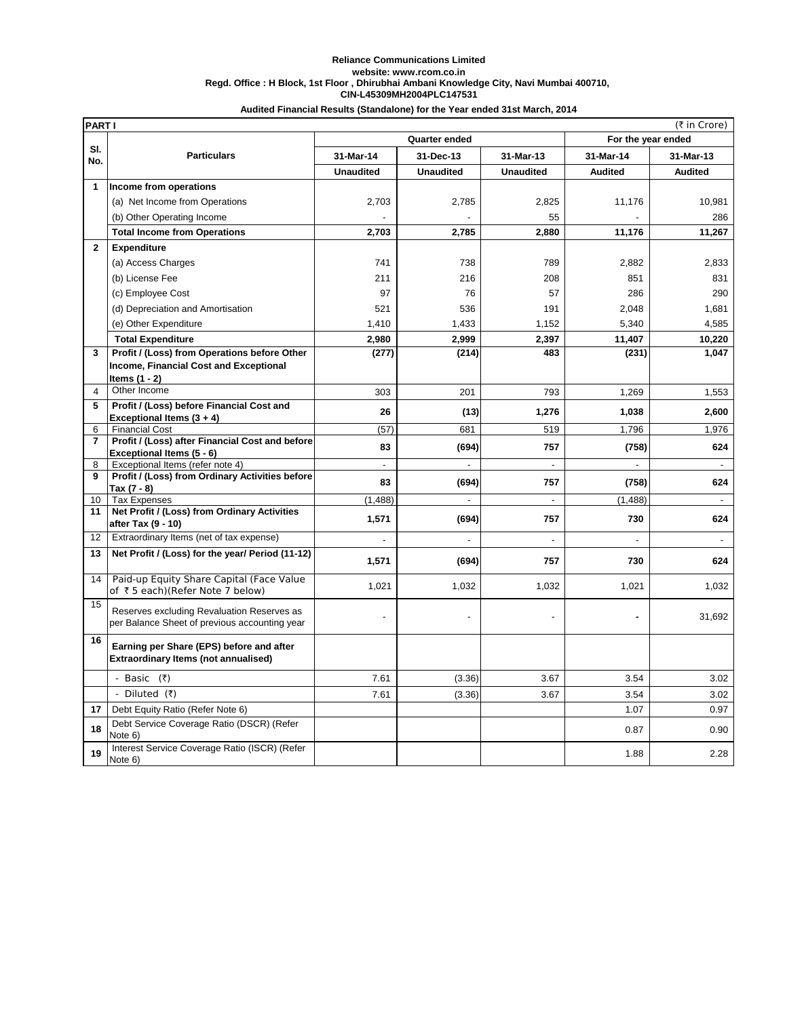## **Reliance Communications Limited website: www.rcom.co.in Regd. Office : H Block, 1st Floor , Dhirubhai Ambani Knowledge City, Navi Mumbai 400710, CIN-L45309MH2004PLC147531**

|                         | (₹ in Crore)<br><b>PARTI</b>                                                                |                  |                  |                    |                |                          |  |  |
|-------------------------|---------------------------------------------------------------------------------------------|------------------|------------------|--------------------|----------------|--------------------------|--|--|
|                         |                                                                                             |                  | Quarter ended    | For the year ended |                |                          |  |  |
| SI.<br>No.              | <b>Particulars</b>                                                                          | 31-Mar-14        | 31-Dec-13        | 31-Mar-13          | 31-Mar-14      | 31-Mar-13                |  |  |
|                         |                                                                                             | <b>Unaudited</b> | <b>Unaudited</b> | <b>Unaudited</b>   | <b>Audited</b> | <b>Audited</b>           |  |  |
| 1                       | Income from operations                                                                      |                  |                  |                    |                |                          |  |  |
|                         | (a) Net Income from Operations                                                              | 2,703            | 2,785            | 2,825              | 11,176         | 10,981                   |  |  |
|                         | (b) Other Operating Income                                                                  |                  |                  | 55                 |                | 286                      |  |  |
|                         | <b>Total Income from Operations</b>                                                         | 2,703            | 2,785            | 2,880              | 11,176         | 11,267                   |  |  |
| $\mathbf{2}$            | Expenditure                                                                                 |                  |                  |                    |                |                          |  |  |
|                         | (a) Access Charges                                                                          | 741              | 738              | 789                | 2,882          | 2,833                    |  |  |
|                         | (b) License Fee                                                                             | 211              | 216              | 208                | 851            | 831                      |  |  |
|                         | (c) Employee Cost                                                                           | 97               | 76               | 57                 | 286            | 290                      |  |  |
|                         | (d) Depreciation and Amortisation                                                           | 521              | 536              | 191                | 2,048          | 1,681                    |  |  |
|                         | (e) Other Expenditure                                                                       | 1,410            | 1,433            | 1,152              | 5,340          | 4,585                    |  |  |
|                         | <b>Total Expenditure</b>                                                                    | 2,980            | 2,999            | 2,397              | 11,407         | 10,220                   |  |  |
| 3                       | Profit / (Loss) from Operations before Other                                                | (277)            | (214)            | 483                | (231)          | 1,047                    |  |  |
|                         | Income, Financial Cost and Exceptional                                                      |                  |                  |                    |                |                          |  |  |
|                         | Items (1 - 2)                                                                               |                  |                  |                    |                |                          |  |  |
| $\overline{\mathbf{4}}$ | Other Income                                                                                | 303              | 201              | 793                | 1,269          | 1,553                    |  |  |
| 5                       | Profit / (Loss) before Financial Cost and<br>Exceptional Items (3 + 4)                      | 26               | (13)             | 1,276              | 1,038          | 2,600                    |  |  |
| 6                       | <b>Financial Cost</b>                                                                       | (57)             | 681              | 519                | 1,796          | 1,976                    |  |  |
| $\overline{7}$          | Profit / (Loss) after Financial Cost and before                                             | 83               | (694)            | 757                | (758)          | 624                      |  |  |
| 8                       | Exceptional Items (5 - 6)                                                                   | L                | ÷,               |                    |                |                          |  |  |
| 9                       | Exceptional Items (refer note 4)<br>Profit / (Loss) from Ordinary Activities before         |                  |                  |                    |                | $\overline{\phantom{a}}$ |  |  |
|                         | Tax (7 - 8)                                                                                 | 83               | (694)            | 757                | (758)          | 624                      |  |  |
| 10                      | <b>Tax Expenses</b>                                                                         | (1, 488)         | L,               | $\overline{a}$     | (1, 488)       | $\overline{\phantom{a}}$ |  |  |
| 11                      | Net Profit / (Loss) from Ordinary Activities<br>after Tax (9 - 10)                          | 1,571            | (694)            | 757                | 730            | 624                      |  |  |
| 12                      | Extraordinary Items (net of tax expense)                                                    |                  |                  |                    |                |                          |  |  |
| 13                      | Net Profit / (Loss) for the year/ Period (11-12)                                            | 1,571            | (694)            | 757                | 730            | 624                      |  |  |
| 14                      | Paid-up Equity Share Capital (Face Value<br>of ₹5 each)(Refer Note 7 below)                 | 1,021            | 1,032            | 1,032              | 1,021          | 1,032                    |  |  |
| 15                      | Reserves excluding Revaluation Reserves as<br>per Balance Sheet of previous accounting year |                  |                  |                    |                | 31,692                   |  |  |
| 16                      | Earning per Share (EPS) before and after<br>Extraordinary Items (not annualised)            |                  |                  |                    |                |                          |  |  |
|                         | - Basic (₹)                                                                                 | 7.61             | (3.36)           | 3.67               | 3.54           | 3.02                     |  |  |
|                         | - Diluted (₹)                                                                               | 7.61             | (3.36)           | 3.67               | 3.54           | 3.02                     |  |  |
| 17                      | Debt Equity Ratio (Refer Note 6)                                                            |                  |                  |                    | 1.07           | 0.97                     |  |  |
| 18                      | Debt Service Coverage Ratio (DSCR) (Refer<br>Note 6)                                        |                  |                  |                    | 0.87           | 0.90                     |  |  |
| 19                      | Interest Service Coverage Ratio (ISCR) (Refer<br>Note 6)                                    |                  |                  |                    | 1.88           | 2.28                     |  |  |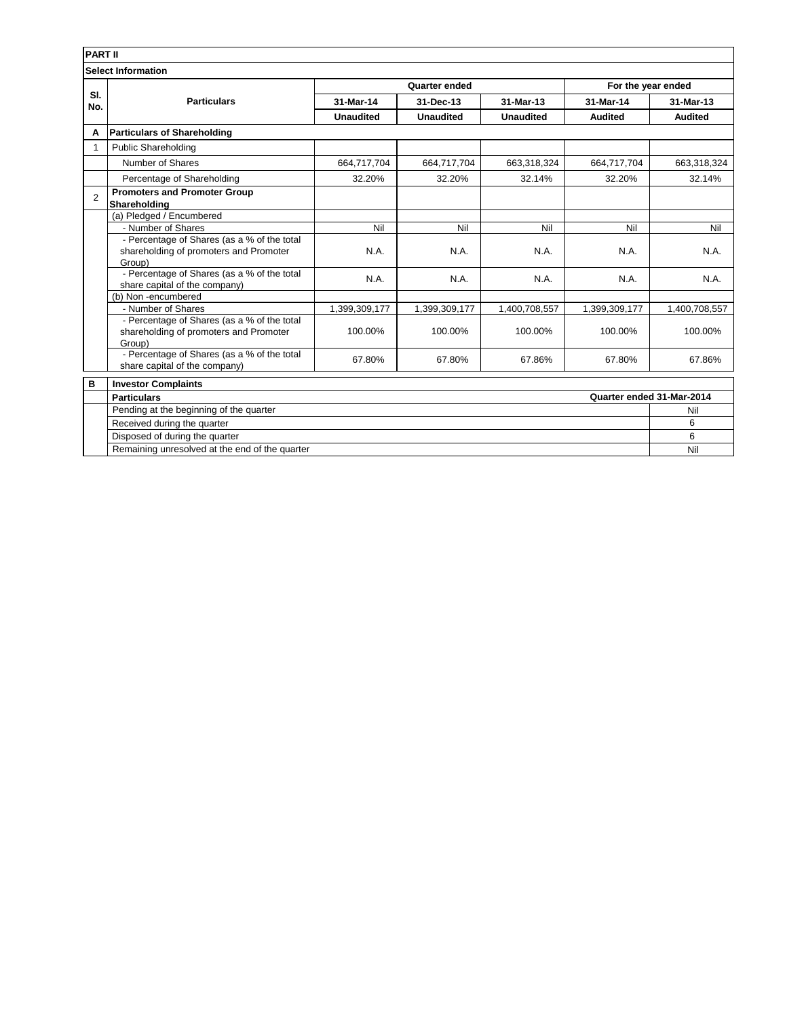|                           | <b>PART II</b>                                                                                  |                  |                  |                  |                    |                           |  |  |
|---------------------------|-------------------------------------------------------------------------------------------------|------------------|------------------|------------------|--------------------|---------------------------|--|--|
| <b>Select Information</b> |                                                                                                 |                  |                  |                  |                    |                           |  |  |
|                           | <b>Particulars</b>                                                                              | Quarter ended    |                  |                  | For the year ended |                           |  |  |
| SI.<br>No.                |                                                                                                 | 31-Mar-14        | 31-Dec-13        | 31-Mar-13        | 31-Mar-14          | 31-Mar-13                 |  |  |
|                           |                                                                                                 | <b>Unaudited</b> | <b>Unaudited</b> | <b>Unaudited</b> | <b>Audited</b>     | <b>Audited</b>            |  |  |
| A                         | <b>Particulars of Shareholding</b>                                                              |                  |                  |                  |                    |                           |  |  |
| 1                         | <b>Public Shareholding</b>                                                                      |                  |                  |                  |                    |                           |  |  |
|                           | Number of Shares                                                                                | 664,717,704      | 664,717,704      | 663,318,324      | 664,717,704        | 663,318,324               |  |  |
|                           | Percentage of Shareholding                                                                      | 32.20%           | 32.20%           | 32.14%           | 32.20%             | 32.14%                    |  |  |
| $\overline{2}$            | <b>Promoters and Promoter Group</b><br>Shareholding                                             |                  |                  |                  |                    |                           |  |  |
|                           | (a) Pledged / Encumbered                                                                        |                  |                  |                  |                    |                           |  |  |
|                           | - Number of Shares                                                                              | Nil              | Nil              | Nil              | Nil                | Nil                       |  |  |
|                           | - Percentage of Shares (as a % of the total<br>shareholding of promoters and Promoter<br>Group) | N.A.             | N.A.             | N.A.             | N.A.               | N.A.                      |  |  |
|                           | - Percentage of Shares (as a % of the total<br>share capital of the company)                    | N.A.             | N.A.             | N.A.             | N.A.               | N.A.                      |  |  |
|                           | (b) Non-encumbered                                                                              |                  |                  |                  |                    |                           |  |  |
|                           | - Number of Shares                                                                              | 1,399,309,177    | 1,399,309,177    | 1,400,708,557    | 1,399,309,177      | 1,400,708,557             |  |  |
|                           | - Percentage of Shares (as a % of the total<br>shareholding of promoters and Promoter<br>Group) | 100.00%          | 100.00%          | 100.00%          | 100.00%            | 100.00%                   |  |  |
|                           | - Percentage of Shares (as a % of the total<br>share capital of the company)                    | 67.80%           | 67.80%           | 67.86%           | 67.80%             | 67.86%                    |  |  |
| B                         | <b>Investor Complaints</b>                                                                      |                  |                  |                  |                    |                           |  |  |
|                           | <b>Particulars</b>                                                                              |                  |                  |                  |                    | Quarter ended 31-Mar-2014 |  |  |
|                           | Pending at the beginning of the quarter<br>Received during the quarter                          |                  |                  |                  |                    |                           |  |  |
|                           |                                                                                                 |                  |                  |                  |                    |                           |  |  |
|                           | Disposed of during the quarter                                                                  |                  | 6                |                  |                    |                           |  |  |
|                           | Remaining unresolved at the end of the quarter                                                  |                  |                  |                  |                    | Nil                       |  |  |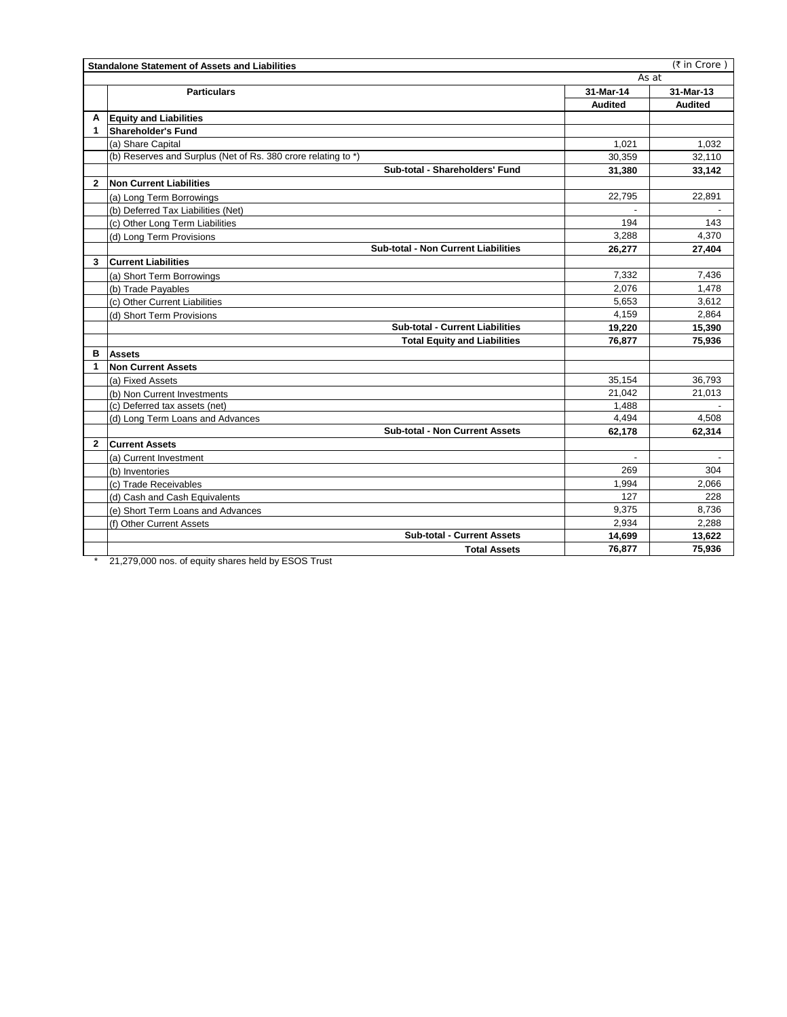| (₹ in Crore)<br><b>Standalone Statement of Assets and Liabilities</b> |                                                               |                |                          |  |  |  |
|-----------------------------------------------------------------------|---------------------------------------------------------------|----------------|--------------------------|--|--|--|
|                                                                       | As at                                                         |                |                          |  |  |  |
|                                                                       | <b>Particulars</b>                                            | 31-Mar-14      | 31-Mar-13                |  |  |  |
|                                                                       |                                                               | <b>Audited</b> | <b>Audited</b>           |  |  |  |
| А                                                                     | <b>Equity and Liabilities</b>                                 |                |                          |  |  |  |
| 1                                                                     | Shareholder's Fund                                            |                |                          |  |  |  |
|                                                                       | (a) Share Capital                                             | 1.021          | 1,032                    |  |  |  |
|                                                                       | (b) Reserves and Surplus (Net of Rs. 380 crore relating to *) | 30,359         | 32,110                   |  |  |  |
|                                                                       | Sub-total - Shareholders' Fund                                | 31.380         | 33,142                   |  |  |  |
| $\mathbf{2}$                                                          | <b>Non Current Liabilities</b>                                |                |                          |  |  |  |
|                                                                       | (a) Long Term Borrowings                                      | 22,795         | 22,891                   |  |  |  |
|                                                                       | (b) Deferred Tax Liabilities (Net)                            |                |                          |  |  |  |
|                                                                       | (c) Other Long Term Liabilities                               | 194            | 143                      |  |  |  |
|                                                                       | (d) Long Term Provisions                                      | 3,288          | 4,370                    |  |  |  |
|                                                                       | <b>Sub-total - Non Current Liabilities</b>                    | 26,277         | 27,404                   |  |  |  |
| 3                                                                     | <b>Current Liabilities</b>                                    |                |                          |  |  |  |
|                                                                       | (a) Short Term Borrowings                                     | 7,332          | 7,436                    |  |  |  |
|                                                                       | (b) Trade Payables                                            | 2,076          | 1,478                    |  |  |  |
|                                                                       | (c) Other Current Liabilities                                 | 5,653          | 3,612                    |  |  |  |
|                                                                       | (d) Short Term Provisions                                     | 4,159          | 2,864                    |  |  |  |
|                                                                       | Sub-total - Current Liabilities                               | 19,220         | 15,390                   |  |  |  |
|                                                                       | <b>Total Equity and Liabilities</b>                           | 76,877         | 75,936                   |  |  |  |
| в                                                                     | <b>Assets</b>                                                 |                |                          |  |  |  |
| 1                                                                     | Non Current Assets                                            |                |                          |  |  |  |
|                                                                       | (a) Fixed Assets                                              | 35,154         | 36,793                   |  |  |  |
|                                                                       | (b) Non Current Investments                                   | 21,042         | 21,013                   |  |  |  |
|                                                                       | (c) Deferred tax assets (net)                                 | 1.488          |                          |  |  |  |
|                                                                       | (d) Long Term Loans and Advances                              | 4,494          | 4.508                    |  |  |  |
|                                                                       | <b>Sub-total - Non Current Assets</b>                         | 62,178         | 62,314                   |  |  |  |
| $\mathbf{2}$                                                          | <b>Current Assets</b>                                         |                |                          |  |  |  |
|                                                                       | (a) Current Investment                                        | $\overline{a}$ | $\overline{\phantom{a}}$ |  |  |  |
|                                                                       | (b) Inventories                                               | 269            | 304                      |  |  |  |
|                                                                       | (c) Trade Receivables                                         | 1.994          | 2.066                    |  |  |  |
|                                                                       | (d) Cash and Cash Equivalents                                 | 127            | 228                      |  |  |  |
|                                                                       | (e) Short Term Loans and Advances                             | 9.375          | 8,736                    |  |  |  |
|                                                                       | (f) Other Current Assets                                      | 2,934          | 2,288                    |  |  |  |
|                                                                       | <b>Sub-total - Current Assets</b>                             | 14,699         | 13,622                   |  |  |  |
|                                                                       | <b>Total Assets</b>                                           | 76,877         | 75,936                   |  |  |  |

\* 21,279,000 nos. of equity shares held by ESOS Trust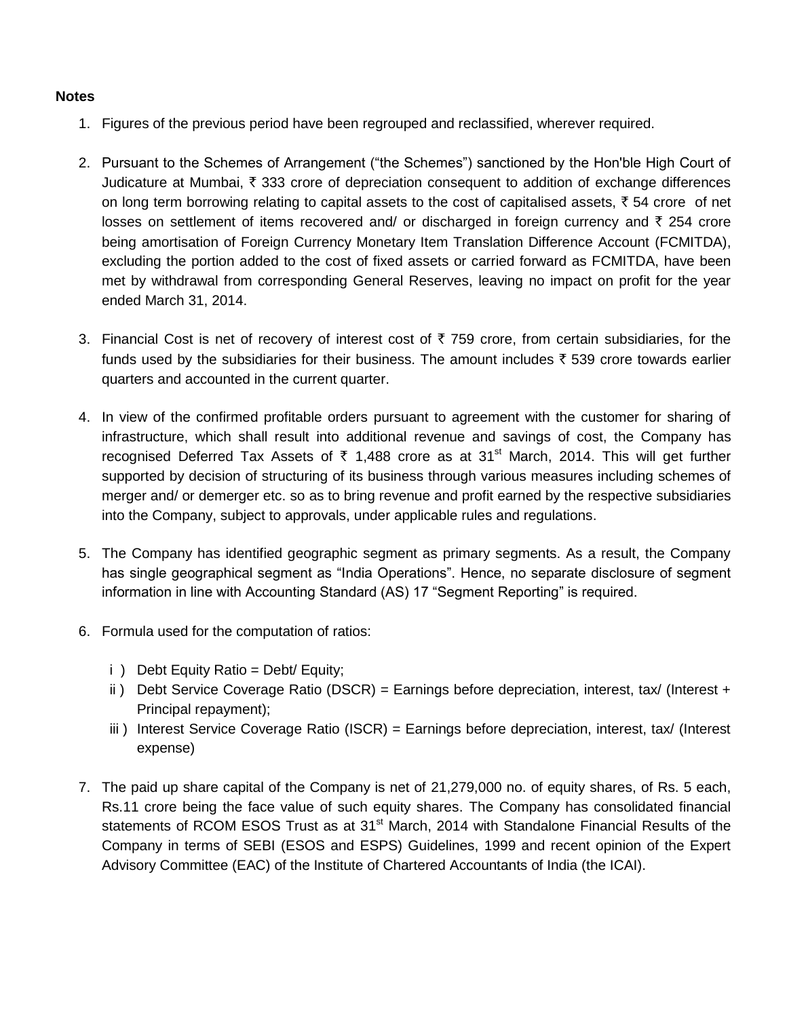## **Notes**

- 1. Figures of the previous period have been regrouped and reclassified, wherever required.
- 2. Pursuant to the Schemes of Arrangement ("the Schemes") sanctioned by the Hon'ble High Court of Judicature at Mumbai,  $\bar{\tau}$  333 crore of depreciation consequent to addition of exchange differences on long term borrowing relating to capital assets to the cost of capitalised assets,  $\bar{\tau}$  54 crore of net losses on settlement of items recovered and/ or discharged in foreign currency and  $\bar{\tau}$  254 crore being amortisation of Foreign Currency Monetary Item Translation Difference Account (FCMITDA), excluding the portion added to the cost of fixed assets or carried forward as FCMITDA, have been met by withdrawal from corresponding General Reserves, leaving no impact on profit for the year ended March 31, 2014.
- 3. Financial Cost is net of recovery of interest cost of  $\bar{\tau}$  759 crore, from certain subsidiaries, for the funds used by the subsidiaries for their business. The amount includes  $\bar{\tau}$  539 crore towards earlier quarters and accounted in the current quarter.
- 4. In view of the confirmed profitable orders pursuant to agreement with the customer for sharing of infrastructure, which shall result into additional revenue and savings of cost, the Company has recognised Deferred Tax Assets of  $\bar{\tau}$  1,488 crore as at 31<sup>st</sup> March, 2014. This will get further supported by decision of structuring of its business through various measures including schemes of merger and/ or demerger etc. so as to bring revenue and profit earned by the respective subsidiaries into the Company, subject to approvals, under applicable rules and regulations.
- 5. The Company has identified geographic segment as primary segments. As a result, the Company has single geographical segment as "India Operations". Hence, no separate disclosure of segment information in line with Accounting Standard (AS) 17 "Segment Reporting" is required.
- 6. Formula used for the computation of ratios:
	- i ) Debt Equity Ratio = Debt/ Equity;
	- ii) Debt Service Coverage Ratio (DSCR) = Earnings before depreciation, interest, tax/ (Interest + Principal repayment);
	- iii ) Interest Service Coverage Ratio (ISCR) = Earnings before depreciation, interest, tax/ (Interest expense)
- 7. The paid up share capital of the Company is net of 21,279,000 no. of equity shares, of Rs. 5 each, Rs.11 crore being the face value of such equity shares. The Company has consolidated financial statements of RCOM ESOS Trust as at 31<sup>st</sup> March, 2014 with Standalone Financial Results of the Company in terms of SEBI (ESOS and ESPS) Guidelines, 1999 and recent opinion of the Expert Advisory Committee (EAC) of the Institute of Chartered Accountants of India (the ICAI).